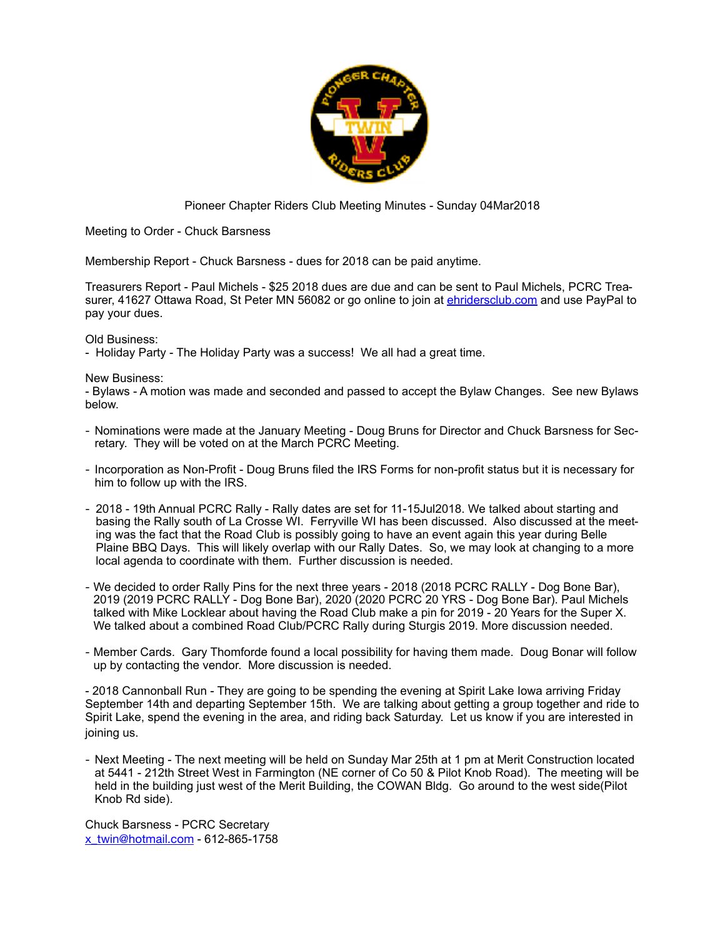

#### Pioneer Chapter Riders Club Meeting Minutes - Sunday 04Mar2018

Meeting to Order - Chuck Barsness

Membership Report - Chuck Barsness - dues for 2018 can be paid anytime.

Treasurers Report - Paul Michels - \$25 2018 dues are due and can be sent to Paul Michels, PCRC Treasurer, 41627 Ottawa Road, St Peter MN 56082 or go online to join at [ehridersclub.com](http://ehridersclub.com) and use PayPal to pay your dues.

Old Business:

- Holiday Party - The Holiday Party was a success! We all had a great time.

#### New Business:

- Bylaws - A motion was made and seconded and passed to accept the Bylaw Changes. See new Bylaws below.

- Nominations were made at the January Meeting Doug Bruns for Director and Chuck Barsness for Secretary. They will be voted on at the March PCRC Meeting.
- Incorporation as Non-Profit Doug Bruns filed the IRS Forms for non-profit status but it is necessary for him to follow up with the IRS.
- 2018 19th Annual PCRC Rally Rally dates are set for 11-15Jul2018. We talked about starting and basing the Rally south of La Crosse WI. Ferryville WI has been discussed. Also discussed at the meeting was the fact that the Road Club is possibly going to have an event again this year during Belle Plaine BBQ Days. This will likely overlap with our Rally Dates. So, we may look at changing to a more local agenda to coordinate with them. Further discussion is needed.
- We decided to order Rally Pins for the next three years 2018 (2018 PCRC RALLY Dog Bone Bar), 2019 (2019 PCRC RALLY - Dog Bone Bar), 2020 (2020 PCRC 20 YRS - Dog Bone Bar). Paul Michels talked with Mike Locklear about having the Road Club make a pin for 2019 - 20 Years for the Super X. We talked about a combined Road Club/PCRC Rally during Sturgis 2019. More discussion needed.
- Member Cards. Gary Thomforde found a local possibility for having them made. Doug Bonar will follow up by contacting the vendor. More discussion is needed.

- 2018 Cannonball Run - They are going to be spending the evening at Spirit Lake Iowa arriving Friday September 14th and departing September 15th. We are talking about getting a group together and ride to Spirit Lake, spend the evening in the area, and riding back Saturday. Let us know if you are interested in joining us.

- Next Meeting - The next meeting will be held on Sunday Mar 25th at 1 pm at Merit Construction located at 5441 - 212th Street West in Farmington (NE corner of Co 50 & Pilot Knob Road). The meeting will be held in the building just west of the Merit Building, the COWAN Bldg. Go around to the west side(Pilot Knob Rd side).

Chuck Barsness - PCRC Secretary [x\\_twin@hotmail.com](mailto:x_twin@hotmail.com) - 612-865-1758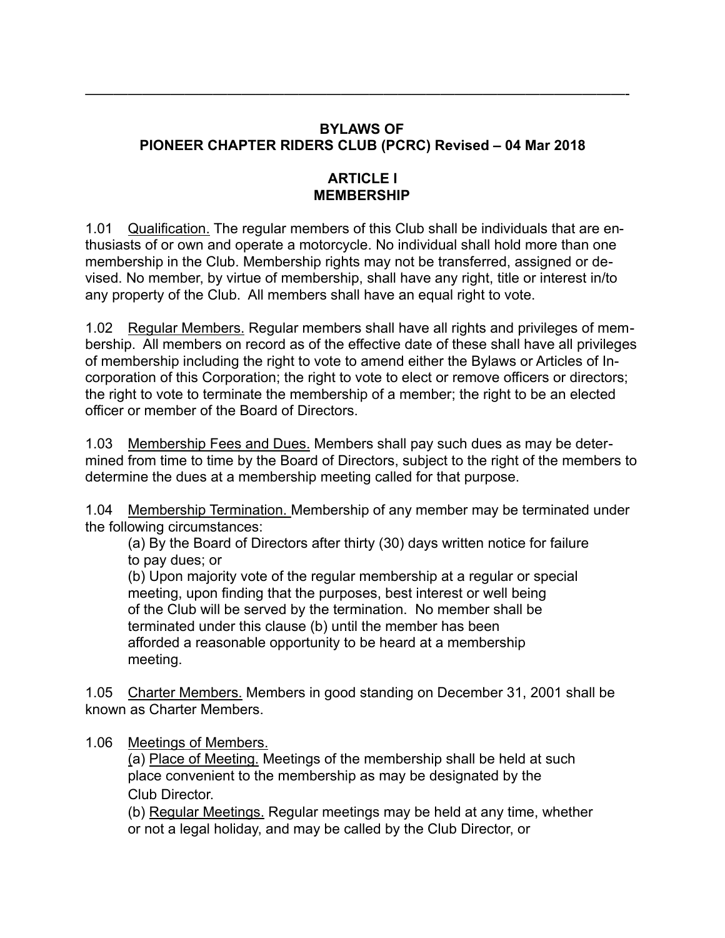## **BYLAWS OF PIONEER CHAPTER RIDERS CLUB (PCRC) Revised – 04 Mar 2018**

——————————————————————————————————————-

#### **ARTICLE I MEMBERSHIP**

1.01 Qualification. The regular members of this Club shall be individuals that are enthusiasts of or own and operate a motorcycle. No individual shall hold more than one membership in the Club. Membership rights may not be transferred, assigned or devised. No member, by virtue of membership, shall have any right, title or interest in/to any property of the Club. All members shall have an equal right to vote.

1.02 Regular Members. Regular members shall have all rights and privileges of membership. All members on record as of the effective date of these shall have all privileges of membership including the right to vote to amend either the Bylaws or Articles of Incorporation of this Corporation; the right to vote to elect or remove officers or directors; the right to vote to terminate the membership of a member; the right to be an elected officer or member of the Board of Directors.

1.03 Membership Fees and Dues. Members shall pay such dues as may be determined from time to time by the Board of Directors, subject to the right of the members to determine the dues at a membership meeting called for that purpose.

1.04 Membership Termination. Membership of any member may be terminated under the following circumstances:

 (a) By the Board of Directors after thirty (30) days written notice for failure to pay dues; or

 (b) Upon majority vote of the regular membership at a regular or special meeting, upon finding that the purposes, best interest or well being of the Club will be served by the termination. No member shall be terminated under this clause (b) until the member has been afforded a reasonable opportunity to be heard at a membership meeting.

1.05 Charter Members. Members in good standing on December 31, 2001 shall be known as Charter Members.

1.06 Meetings of Members.

(a) Place of Meeting. Meetings of the membership shall be held at such place convenient to the membership as may be designated by the Club Director.

 (b) Regular Meetings. Regular meetings may be held at any time, whether or not a legal holiday, and may be called by the Club Director, or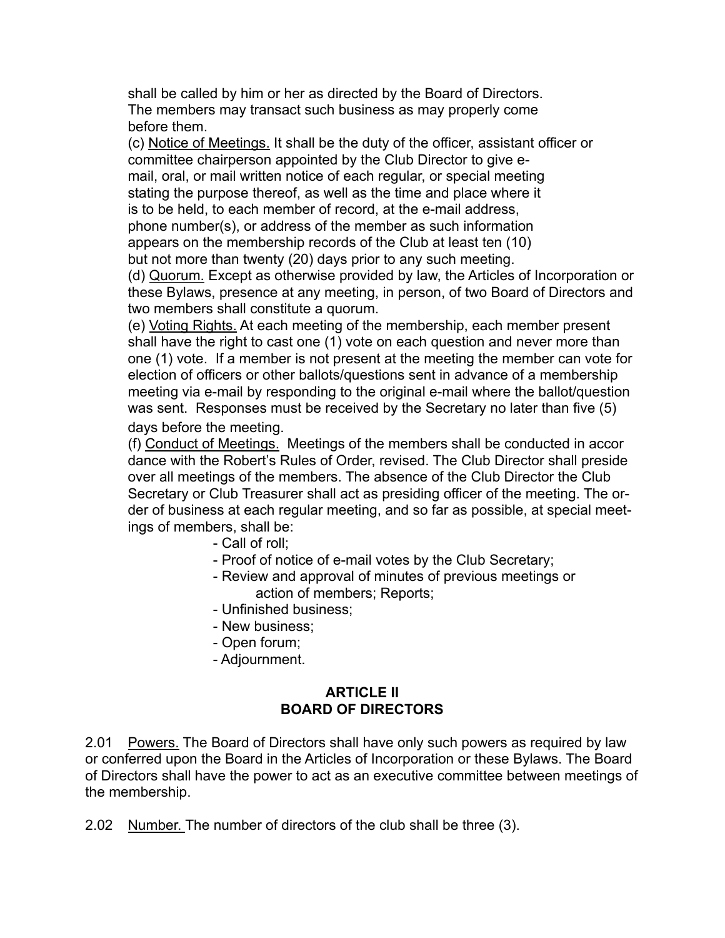shall be called by him or her as directed by the Board of Directors. The members may transact such business as may properly come before them.

 (c) Notice of Meetings. It shall be the duty of the officer, assistant officer or committee chairperson appointed by the Club Director to give e mail, oral, or mail written notice of each regular, or special meeting stating the purpose thereof, as well as the time and place where it is to be held, to each member of record, at the e-mail address, phone number(s), or address of the member as such information appears on the membership records of the Club at least ten (10) but not more than twenty (20) days prior to any such meeting.

 (d) Quorum. Except as otherwise provided by law, the Articles of Incorporation or these Bylaws, presence at any meeting, in person, of two Board of Directors and two members shall constitute a quorum.

 (e) Voting Rights. At each meeting of the membership, each member present shall have the right to cast one (1) vote on each question and never more than one (1) vote. If a member is not present at the meeting the member can vote for election of officers or other ballots/questions sent in advance of a membership meeting via e-mail by responding to the original e-mail where the ballot/question was sent. Responses must be received by the Secretary no later than five (5) days before the meeting.

 (f) Conduct of Meetings. Meetings of the members shall be conducted in accor dance with the Robert's Rules of Order, revised. The Club Director shall preside over all meetings of the members. The absence of the Club Director the Club Secretary or Club Treasurer shall act as presiding officer of the meeting. The or der of business at each regular meeting, and so far as possible, at special meetings of members, shall be:

- Call of roll;
- Proof of notice of e-mail votes by the Club Secretary;
- Review and approval of minutes of previous meetings or action of members; Reports;
- Unfinished business;
- New business;
- Open forum;
- Adjournment.

### **ARTICLE II BOARD OF DIRECTORS**

2.01 Powers. The Board of Directors shall have only such powers as required by law or conferred upon the Board in the Articles of Incorporation or these Bylaws. The Board of Directors shall have the power to act as an executive committee between meetings of the membership.

2.02 Number. The number of directors of the club shall be three (3).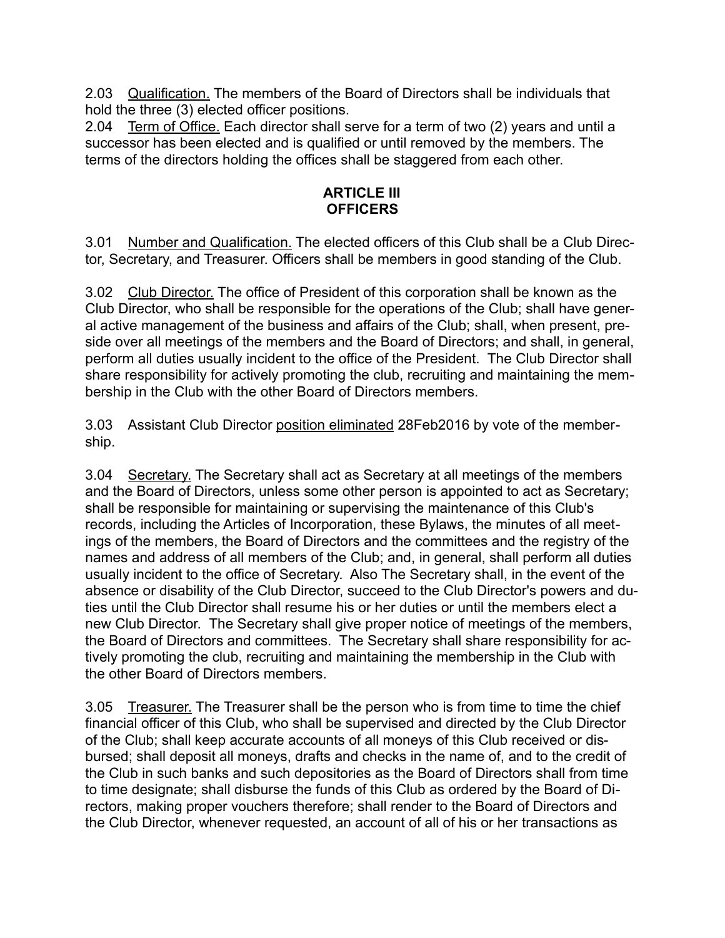2.03 Qualification. The members of the Board of Directors shall be individuals that hold the three (3) elected officer positions.

2.04 Term of Office. Each director shall serve for a term of two (2) years and until a successor has been elected and is qualified or until removed by the members. The terms of the directors holding the offices shall be staggered from each other.

### **ARTICLE III OFFICERS**

3.01 Number and Qualification. The elected officers of this Club shall be a Club Director, Secretary, and Treasurer. Officers shall be members in good standing of the Club.

3.02 Club Director. The office of President of this corporation shall be known as the Club Director, who shall be responsible for the operations of the Club; shall have general active management of the business and affairs of the Club; shall, when present, preside over all meetings of the members and the Board of Directors; and shall, in general, perform all duties usually incident to the office of the President. The Club Director shall share responsibility for actively promoting the club, recruiting and maintaining the membership in the Club with the other Board of Directors members.

3.03 Assistant Club Director position eliminated 28Feb2016 by vote of the membership.

3.04 Secretary. The Secretary shall act as Secretary at all meetings of the members and the Board of Directors, unless some other person is appointed to act as Secretary; shall be responsible for maintaining or supervising the maintenance of this Club's records, including the Articles of Incorporation, these Bylaws, the minutes of all meetings of the members, the Board of Directors and the committees and the registry of the names and address of all members of the Club; and, in general, shall perform all duties usually incident to the office of Secretary. Also The Secretary shall, in the event of the absence or disability of the Club Director, succeed to the Club Director's powers and duties until the Club Director shall resume his or her duties or until the members elect a new Club Director. The Secretary shall give proper notice of meetings of the members, the Board of Directors and committees. The Secretary shall share responsibility for actively promoting the club, recruiting and maintaining the membership in the Club with the other Board of Directors members.

3.05 Treasurer. The Treasurer shall be the person who is from time to time the chief financial officer of this Club, who shall be supervised and directed by the Club Director of the Club; shall keep accurate accounts of all moneys of this Club received or disbursed; shall deposit all moneys, drafts and checks in the name of, and to the credit of the Club in such banks and such depositories as the Board of Directors shall from time to time designate; shall disburse the funds of this Club as ordered by the Board of Directors, making proper vouchers therefore; shall render to the Board of Directors and the Club Director, whenever requested, an account of all of his or her transactions as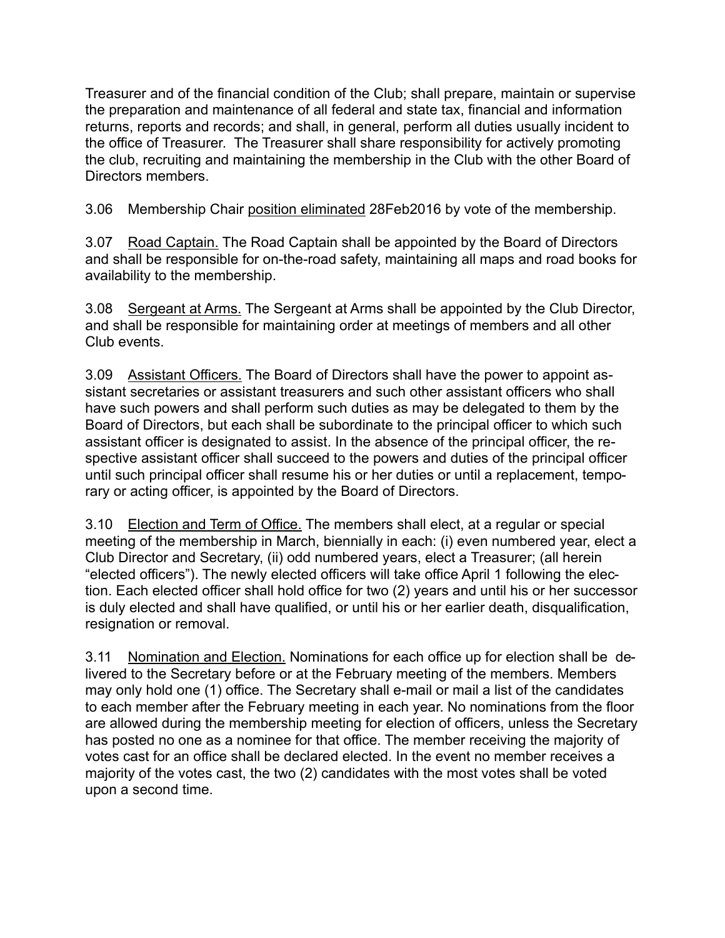Treasurer and of the financial condition of the Club; shall prepare, maintain or supervise the preparation and maintenance of all federal and state tax, financial and information returns, reports and records; and shall, in general, perform all duties usually incident to the office of Treasurer. The Treasurer shall share responsibility for actively promoting the club, recruiting and maintaining the membership in the Club with the other Board of Directors members.

3.06 Membership Chair position eliminated 28Feb2016 by vote of the membership.

3.07 Road Captain. The Road Captain shall be appointed by the Board of Directors and shall be responsible for on-the-road safety, maintaining all maps and road books for availability to the membership.

3.08 Sergeant at Arms. The Sergeant at Arms shall be appointed by the Club Director, and shall be responsible for maintaining order at meetings of members and all other Club events.

3.09 Assistant Officers. The Board of Directors shall have the power to appoint assistant secretaries or assistant treasurers and such other assistant officers who shall have such powers and shall perform such duties as may be delegated to them by the Board of Directors, but each shall be subordinate to the principal officer to which such assistant officer is designated to assist. In the absence of the principal officer, the respective assistant officer shall succeed to the powers and duties of the principal officer until such principal officer shall resume his or her duties or until a replacement, temporary or acting officer, is appointed by the Board of Directors.

3.10 Election and Term of Office. The members shall elect, at a regular or special meeting of the membership in March, biennially in each: (i) even numbered year, elect a Club Director and Secretary, (ii) odd numbered years, elect a Treasurer; (all herein "elected officers"). The newly elected officers will take office April 1 following the election. Each elected officer shall hold office for two (2) years and until his or her successor is duly elected and shall have qualified, or until his or her earlier death, disqualification, resignation or removal.

3.11 Nomination and Election. Nominations for each office up for election shall be delivered to the Secretary before or at the February meeting of the members. Members may only hold one (1) office. The Secretary shall e-mail or mail a list of the candidates to each member after the February meeting in each year. No nominations from the floor are allowed during the membership meeting for election of officers, unless the Secretary has posted no one as a nominee for that office. The member receiving the majority of votes cast for an office shall be declared elected. In the event no member receives a majority of the votes cast, the two (2) candidates with the most votes shall be voted upon a second time.